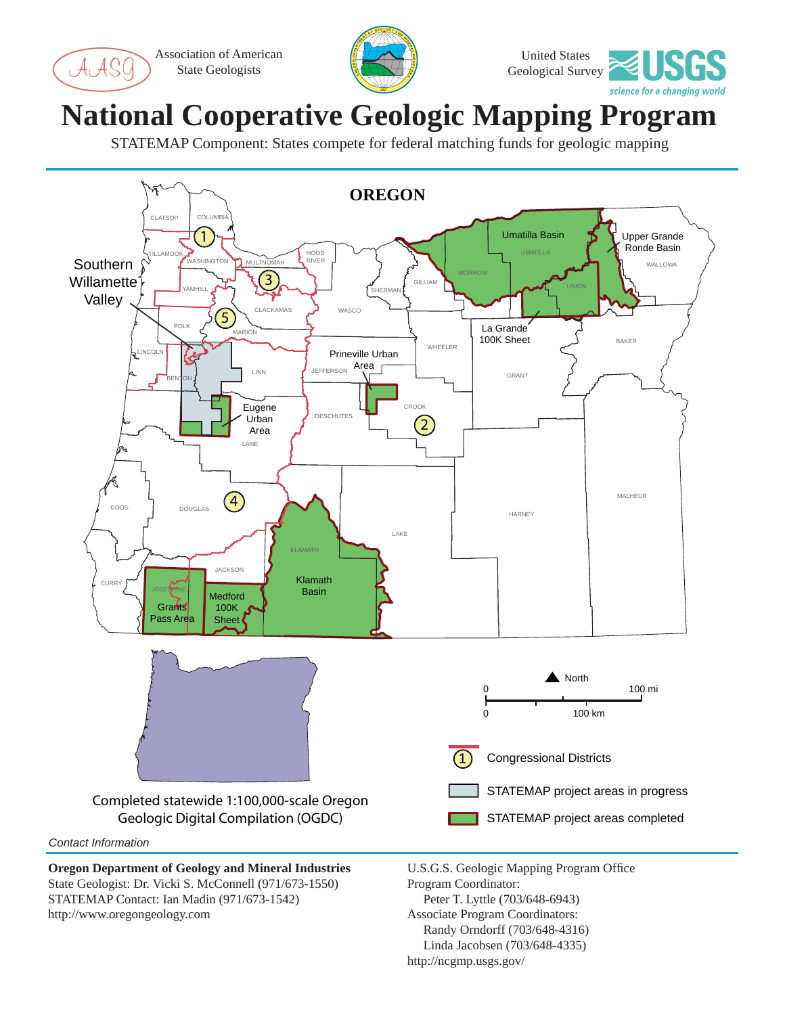Association of American State Geologists

ASC





## **National Cooperative Geologic Mapping Program**

STATEMAP Component: States compete for federal matching funds for geologic mapping



State Geologist: Dr. Vicki S. McConnell (971/673-1550) STATEMAP Contact: Ian Madin (971/673-1542) http://www.oregongeology.com

Program Coordinator: Peter T. Lyttle (703/648-6943) Associate Program Coordinators: Randy Orndorff (703/648-4316) Linda Jacobsen (703/648-4335) http://ncgmp.usgs.gov/